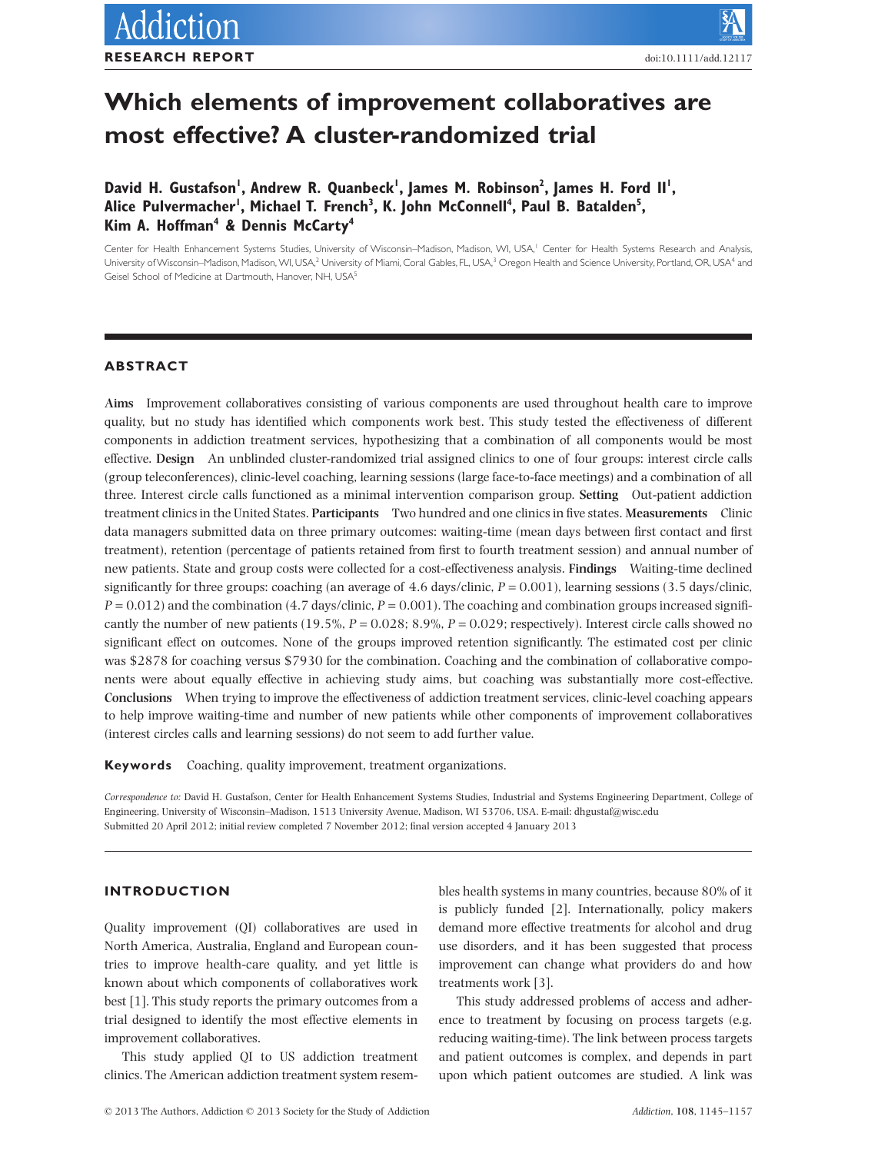# **Which elements of improvement collaboratives are most effective? A cluster-randomized trial**

David H. Gustafson', Andrew R. Quanbeck', James M. Robinson<sup>2</sup>, James H. Ford II', Alice Pulvermacher', Michael T. French<sup>3</sup>, K. John McConnell<sup>4</sup>, Paul B. Batalden<sup>5</sup>, **Kim A. Hoffman4 & Dennis McCarty4**

Center for Health Enhancement Systems Studies, University of Wisconsin-Madison, Madison, WI, USA,<sup>1</sup> Center for Health Systems Research and Analysis, University of Wisconsin–Madison, Madison, WI, USA,<sup>2</sup> University of Miami, Coral Gables, FL, USA,<sup>3</sup> Oregon Health and Science University, Portland, OR, USA<sup>4</sup> and Geisel School of Medicine at Dartmouth, Hanover, NH, USA<sup>5</sup>

## **ABSTRACT**

**Aims** Improvement collaboratives consisting of various components are used throughout health care to improve quality, but no study has identified which components work best. This study tested the effectiveness of different components in addiction treatment services, hypothesizing that a combination of all components would be most effective. **Design** An unblinded cluster-randomized trial assigned clinics to one of four groups: interest circle calls (group teleconferences), clinic-level coaching, learning sessions (large face-to-face meetings) and a combination of all three. Interest circle calls functioned as a minimal intervention comparison group. **Setting** Out-patient addiction treatment clinics in the United States. **Participants** Two hundred and one clinics in five states. **Measurements** Clinic data managers submitted data on three primary outcomes: waiting-time (mean days between first contact and first treatment), retention (percentage of patients retained from first to fourth treatment session) and annual number of new patients. State and group costs were collected for a cost-effectiveness analysis. **Findings** Waiting-time declined significantly for three groups: coaching (an average of  $4.6$  days/clinic,  $P = 0.001$ ), learning sessions (3.5 days/clinic,  $P = 0.012$ ) and the combination (4.7 days/clinic,  $P = 0.001$ ). The coaching and combination groups increased significantly the number of new patients  $(19.5\%, P = 0.028; 8.9\%, P = 0.029;$  respectively). Interest circle calls showed no significant effect on outcomes. None of the groups improved retention significantly. The estimated cost per clinic was \$2878 for coaching versus \$7930 for the combination. Coaching and the combination of collaborative components were about equally effective in achieving study aims, but coaching was substantially more cost-effective. **Conclusions** When trying to improve the effectiveness of addiction treatment services, clinic-level coaching appears to help improve waiting-time and number of new patients while other components of improvement collaboratives (interest circles calls and learning sessions) do not seem to add further value.

**Keywords** Coaching, quality improvement, treatment organizations.

*Correspondence to:* David H. Gustafson, Center for Health Enhancement Systems Studies, Industrial and Systems Engineering Department, College of Engineering, University of Wisconsin–Madison, 1513 University Avenue, Madison, WI 53706, USA. E-mail: [dhgustaf@wisc.edu](mailto:dhgustaf@wisc.edu) Submitted 20 April 2012; initial review completed 7 November 2012; final version accepted 4 January 2013

## **INTRODUCTION**

Quality improvement (QI) collaboratives are used in North America, Australia, England and European countries to improve health-care quality, and yet little is known about which components of collaboratives work best [1]. This study reports the primary outcomes from a trial designed to identify the most effective elements in improvement collaboratives.

This study applied QI to US addiction treatment clinics. The American addiction treatment system resembles health systems in many countries, because 80% of it is publicly funded [2]. Internationally, policy makers demand more effective treatments for alcohol and drug use disorders, and it has been suggested that process improvement can change what providers do and how treatments work [3].

This study addressed problems of access and adherence to treatment by focusing on process targets (e.g. reducing waiting-time). The link between process targets and patient outcomes is complex, and depends in part upon which patient outcomes are studied. A link was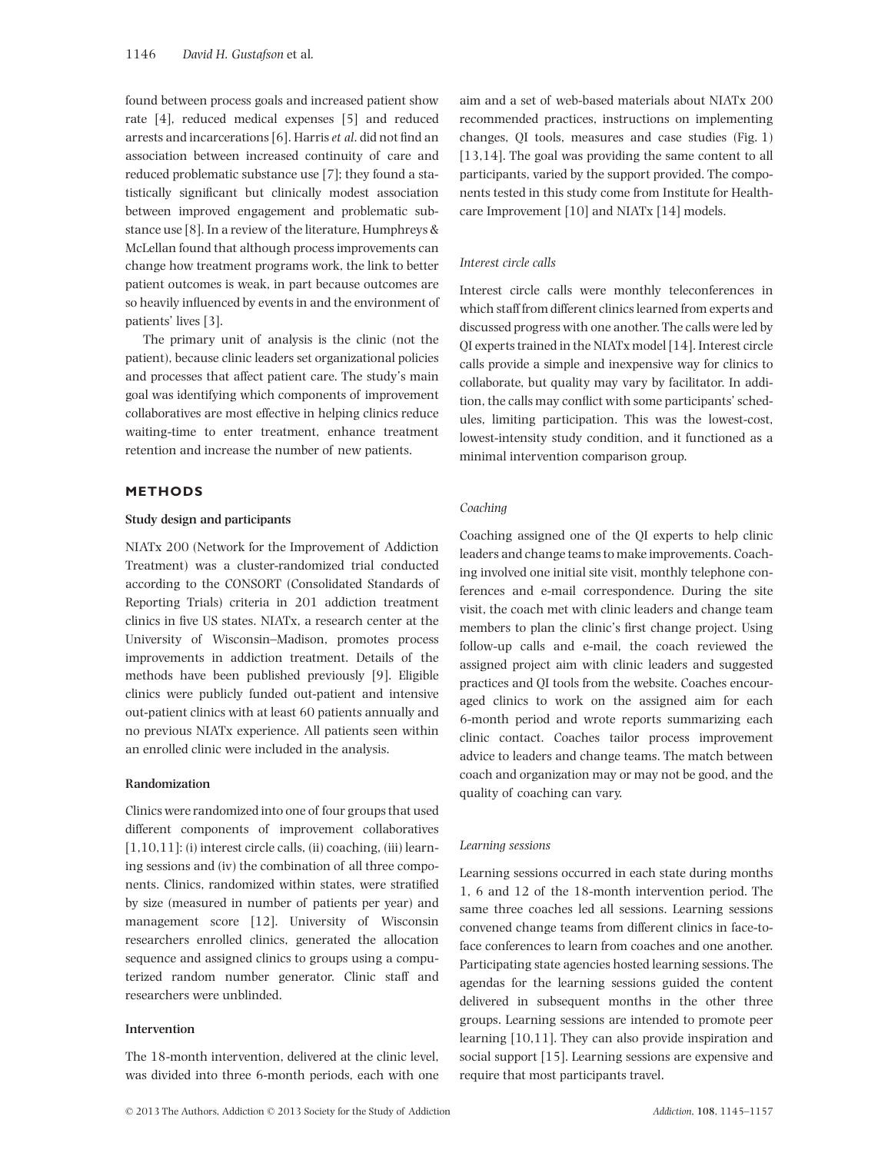found between process goals and increased patient show rate [4], reduced medical expenses [5] and reduced arrests and incarcerations [6]. Harris*et al*. did not find an association between increased continuity of care and reduced problematic substance use [7]; they found a statistically significant but clinically modest association between improved engagement and problematic substance use [8]. In a review of the literature, Humphreys & McLellan found that although process improvements can change how treatment programs work, the link to better patient outcomes is weak, in part because outcomes are so heavily influenced by events in and the environment of patients' lives [3].

The primary unit of analysis is the clinic (not the patient), because clinic leaders set organizational policies and processes that affect patient care. The study's main goal was identifying which components of improvement collaboratives are most effective in helping clinics reduce waiting-time to enter treatment, enhance treatment retention and increase the number of new patients.

## **METHODS**

## **Study design and participants**

NIATx 200 (Network for the Improvement of Addiction Treatment) was a cluster-randomized trial conducted according to the CONSORT (Consolidated Standards of Reporting Trials) criteria in 201 addiction treatment clinics in five US states. NIATx, a research center at the University of Wisconsin–Madison, promotes process improvements in addiction treatment. Details of the methods have been published previously [9]. Eligible clinics were publicly funded out-patient and intensive out-patient clinics with at least 60 patients annually and no previous NIATx experience. All patients seen within an enrolled clinic were included in the analysis.

# **Randomization**

Clinics were randomized into one of four groups that used different components of improvement collaboratives [1,10,11]: (i) interest circle calls, (ii) coaching, (iii) learning sessions and (iv) the combination of all three components. Clinics, randomized within states, were stratified by size (measured in number of patients per year) and management score [12]. University of Wisconsin researchers enrolled clinics, generated the allocation sequence and assigned clinics to groups using a computerized random number generator. Clinic staff and researchers were unblinded.

## **Intervention**

The 18-month intervention, delivered at the clinic level, was divided into three 6-month periods, each with one aim and a set of web-based materials about NIATx 200 recommended practices, instructions on implementing changes, QI tools, measures and case studies (Fig. 1) [13,14]. The goal was providing the same content to all participants, varied by the support provided. The components tested in this study come from Institute for Healthcare Improvement [10] and NIATx [14] models.

## *Interest circle calls*

Interest circle calls were monthly teleconferences in which staff from different clinics learned from experts and discussed progress with one another. The calls were led by QI experts trained in the NIATx model [14]. Interest circle calls provide a simple and inexpensive way for clinics to collaborate, but quality may vary by facilitator. In addition, the calls may conflict with some participants' schedules, limiting participation. This was the lowest-cost, lowest-intensity study condition, and it functioned as a minimal intervention comparison group.

## *Coaching*

Coaching assigned one of the QI experts to help clinic leaders and change teams to make improvements. Coaching involved one initial site visit, monthly telephone conferences and e-mail correspondence. During the site visit, the coach met with clinic leaders and change team members to plan the clinic's first change project. Using follow-up calls and e-mail, the coach reviewed the assigned project aim with clinic leaders and suggested practices and QI tools from the website. Coaches encouraged clinics to work on the assigned aim for each 6-month period and wrote reports summarizing each clinic contact. Coaches tailor process improvement advice to leaders and change teams. The match between coach and organization may or may not be good, and the quality of coaching can vary.

### *Learning sessions*

Learning sessions occurred in each state during months 1, 6 and 12 of the 18-month intervention period. The same three coaches led all sessions. Learning sessions convened change teams from different clinics in face-toface conferences to learn from coaches and one another. Participating state agencies hosted learning sessions. The agendas for the learning sessions guided the content delivered in subsequent months in the other three groups. Learning sessions are intended to promote peer learning [10,11]. They can also provide inspiration and social support [15]. Learning sessions are expensive and require that most participants travel.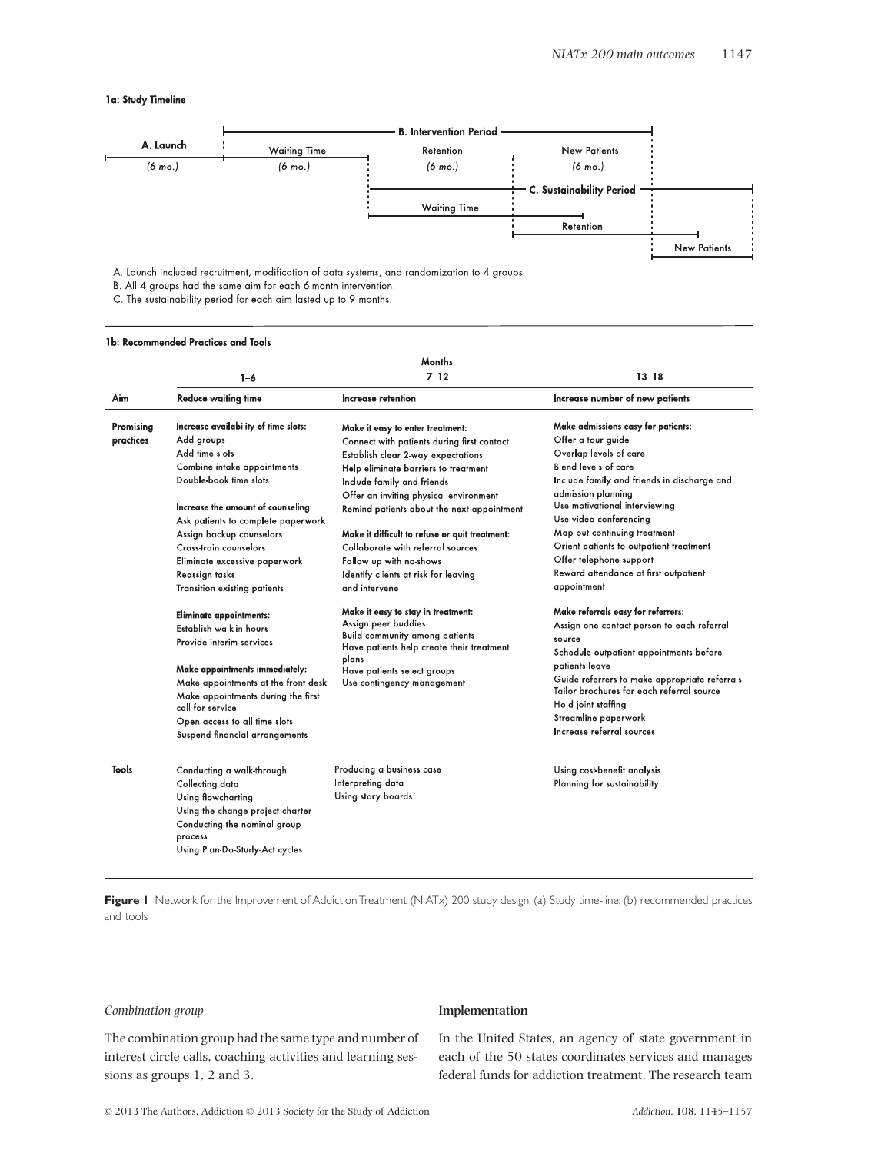## 1a: Study Timeline



A. Launch included recruitment, modification of data systems, and randomization to 4 groups.

C. The sustainability period for each aim lasted up to 9 months.

### 1b: Recommended Practices and Tools

|                        |                                                                                                                                                                                                                                                                                                                                                    | Months                                                                                                                                                                                                                                                                                                                                                                                                                                                        |                                                                                                                                                                                                                                                                                                                                                                                                                 |
|------------------------|----------------------------------------------------------------------------------------------------------------------------------------------------------------------------------------------------------------------------------------------------------------------------------------------------------------------------------------------------|---------------------------------------------------------------------------------------------------------------------------------------------------------------------------------------------------------------------------------------------------------------------------------------------------------------------------------------------------------------------------------------------------------------------------------------------------------------|-----------------------------------------------------------------------------------------------------------------------------------------------------------------------------------------------------------------------------------------------------------------------------------------------------------------------------------------------------------------------------------------------------------------|
|                        | $1 - 6$                                                                                                                                                                                                                                                                                                                                            | $7 - 12$                                                                                                                                                                                                                                                                                                                                                                                                                                                      | $13 - 18$                                                                                                                                                                                                                                                                                                                                                                                                       |
| Aim                    | <b>Reduce waiting time</b>                                                                                                                                                                                                                                                                                                                         | Increase retention                                                                                                                                                                                                                                                                                                                                                                                                                                            | Increase number of new patients                                                                                                                                                                                                                                                                                                                                                                                 |
| Promising<br>practices | Increase availability of time slots:<br>Add groups<br>Add time slots<br>Combine intake appointments<br>Double book time slots<br>Increase the amount of counseling:<br>Ask patients to complete paperwork<br>Assign backup counselors<br>Cross-train counselors<br>Eliminate excessive paperwork<br>Reassign tasks<br>Transition existing patients | Make it easy to enter treatment:<br>Connect with patients during first contact<br>Establish clear 2-way expectations<br>Help eliminate barriers to treatment<br>Include family and friends<br>Offer an inviting physical environment<br>Remind patients about the next appointment<br>Make it difficult to refuse or quit treatment:<br>Collaborate with referral sources<br>Follow up with no shows<br>Identify clients at risk for leaving<br>and intervene | Make admissions easy for patients:<br>Offer a tour guide<br>Overlap levels of care<br><b>Blend levels of care</b><br>Include family and friends in discharge and<br>admission planning<br>Use motivational interviewing<br>Use video conferencing<br>Map out continuing treatment<br>Orient patients to outpatient treatment<br>Offer telephone support<br>Reward attendance at first outpatient<br>appointment |
|                        | Eliminate appointments:<br>Establish walk in hours<br>Provide interim services<br>Make appointments immediately:<br>Make appointments at the front desk<br>Make appointments during the first<br>call for service<br>Open access to all time slots<br>Suspend financial arrangements                                                               | Make it easy to stay in treatment:<br>Assign peer buddies<br><b>Build community among patients</b><br>Have patients help create their treatment<br>plans<br>Have patients select groups<br>Use contingency management                                                                                                                                                                                                                                         | Make referrals easy for referrers:<br>Assign one contact person to each referral<br>source<br>Schedule outpatient appointments before<br>patients leave<br>Guide referrers to make appropriate referrals<br>Tailor brochures for each referral source<br>Hold joint staffing<br>Streamline paperwork<br>Increase referral sources                                                                               |
| Tools                  | Conducting a walk-through<br>Collecting data<br>Using flowcharting<br>Using the change project charter<br>Conducting the nominal group<br>process<br>Using Plan Do-Study-Act cycles                                                                                                                                                                | Producing a business case<br>Interpreting data<br>Using story boards                                                                                                                                                                                                                                                                                                                                                                                          | Using cost-benefit analysis<br>Planning for sustainability                                                                                                                                                                                                                                                                                                                                                      |

Figure 1 Network for the Improvement of Addiction Treatment (NIATx) 200 study design. (a) Study time-line; (b) recommended practices and tools

## *Combination group*

The combination group had the same type and number of interest circle calls, coaching activities and learning sessions as groups 1, 2 and 3.

#### **Implementation**

In the United States, an agency of state government in each of the 50 states coordinates services and manages federal funds for addiction treatment. The research team

B. All 4 groups had the same aim for each 6-month intervention.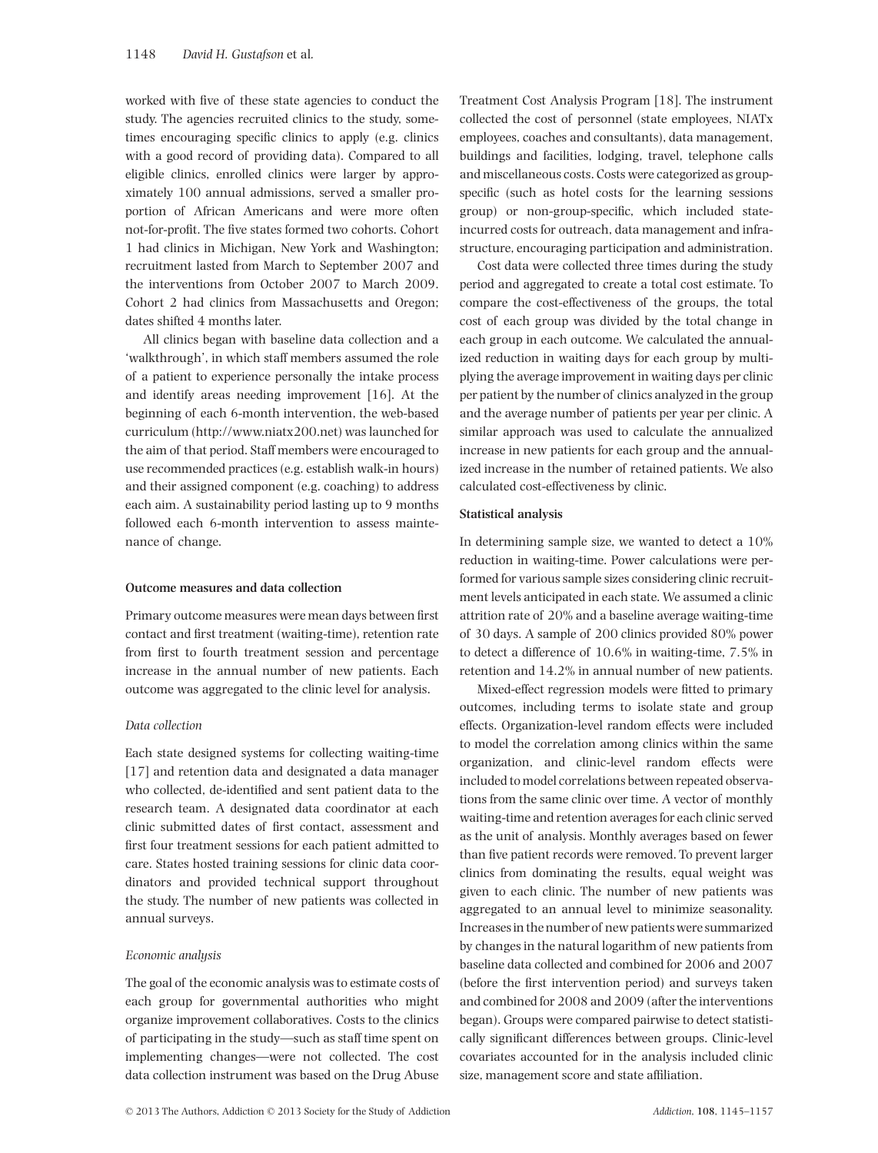worked with five of these state agencies to conduct the study. The agencies recruited clinics to the study, sometimes encouraging specific clinics to apply (e.g. clinics with a good record of providing data). Compared to all eligible clinics, enrolled clinics were larger by approximately 100 annual admissions, served a smaller proportion of African Americans and were more often not-for-profit. The five states formed two cohorts. Cohort 1 had clinics in Michigan, New York and Washington; recruitment lasted from March to September 2007 and the interventions from October 2007 to March 2009. Cohort 2 had clinics from Massachusetts and Oregon; dates shifted 4 months later.

All clinics began with baseline data collection and a 'walkthrough', in which staff members assumed the role of a patient to experience personally the intake process and identify areas needing improvement [16]. At the beginning of each 6-month intervention, the web-based curriculum [\(http://www.niatx200.net\)](http://www.niatx200.net) was launched for the aim of that period. Staff members were encouraged to use recommended practices (e.g. establish walk-in hours) and their assigned component (e.g. coaching) to address each aim. A sustainability period lasting up to 9 months followed each 6-month intervention to assess maintenance of change.

## **Outcome measures and data collection**

Primary outcome measures were mean days between first contact and first treatment (waiting-time), retention rate from first to fourth treatment session and percentage increase in the annual number of new patients. Each outcome was aggregated to the clinic level for analysis.

## *Data collection*

Each state designed systems for collecting waiting-time [17] and retention data and designated a data manager who collected, de-identified and sent patient data to the research team. A designated data coordinator at each clinic submitted dates of first contact, assessment and first four treatment sessions for each patient admitted to care. States hosted training sessions for clinic data coordinators and provided technical support throughout the study. The number of new patients was collected in annual surveys.

#### *Economic analysis*

The goal of the economic analysis was to estimate costs of each group for governmental authorities who might organize improvement collaboratives. Costs to the clinics of participating in the study—such as staff time spent on implementing changes—were not collected. The cost data collection instrument was based on the Drug Abuse

Treatment Cost Analysis Program [18]. The instrument collected the cost of personnel (state employees, NIATx employees, coaches and consultants), data management, buildings and facilities, lodging, travel, telephone calls and miscellaneous costs. Costs were categorized as groupspecific (such as hotel costs for the learning sessions group) or non-group-specific, which included stateincurred costs for outreach, data management and infrastructure, encouraging participation and administration.

Cost data were collected three times during the study period and aggregated to create a total cost estimate. To compare the cost-effectiveness of the groups, the total cost of each group was divided by the total change in each group in each outcome. We calculated the annualized reduction in waiting days for each group by multiplying the average improvement in waiting days per clinic per patient by the number of clinics analyzed in the group and the average number of patients per year per clinic. A similar approach was used to calculate the annualized increase in new patients for each group and the annualized increase in the number of retained patients. We also calculated cost-effectiveness by clinic.

## **Statistical analysis**

In determining sample size, we wanted to detect a 10% reduction in waiting-time. Power calculations were performed for various sample sizes considering clinic recruitment levels anticipated in each state. We assumed a clinic attrition rate of 20% and a baseline average waiting-time of 30 days. A sample of 200 clinics provided 80% power to detect a difference of 10.6% in waiting-time, 7.5% in retention and 14.2% in annual number of new patients.

Mixed-effect regression models were fitted to primary outcomes, including terms to isolate state and group effects. Organization-level random effects were included to model the correlation among clinics within the same organization, and clinic-level random effects were included to model correlations between repeated observations from the same clinic over time. A vector of monthly waiting-time and retention averages for each clinic served as the unit of analysis. Monthly averages based on fewer than five patient records were removed. To prevent larger clinics from dominating the results, equal weight was given to each clinic. The number of new patients was aggregated to an annual level to minimize seasonality. Increases in the number of new patients were summarized by changes in the natural logarithm of new patients from baseline data collected and combined for 2006 and 2007 (before the first intervention period) and surveys taken and combined for 2008 and 2009 (after the interventions began). Groups were compared pairwise to detect statistically significant differences between groups. Clinic-level covariates accounted for in the analysis included clinic size, management score and state affiliation.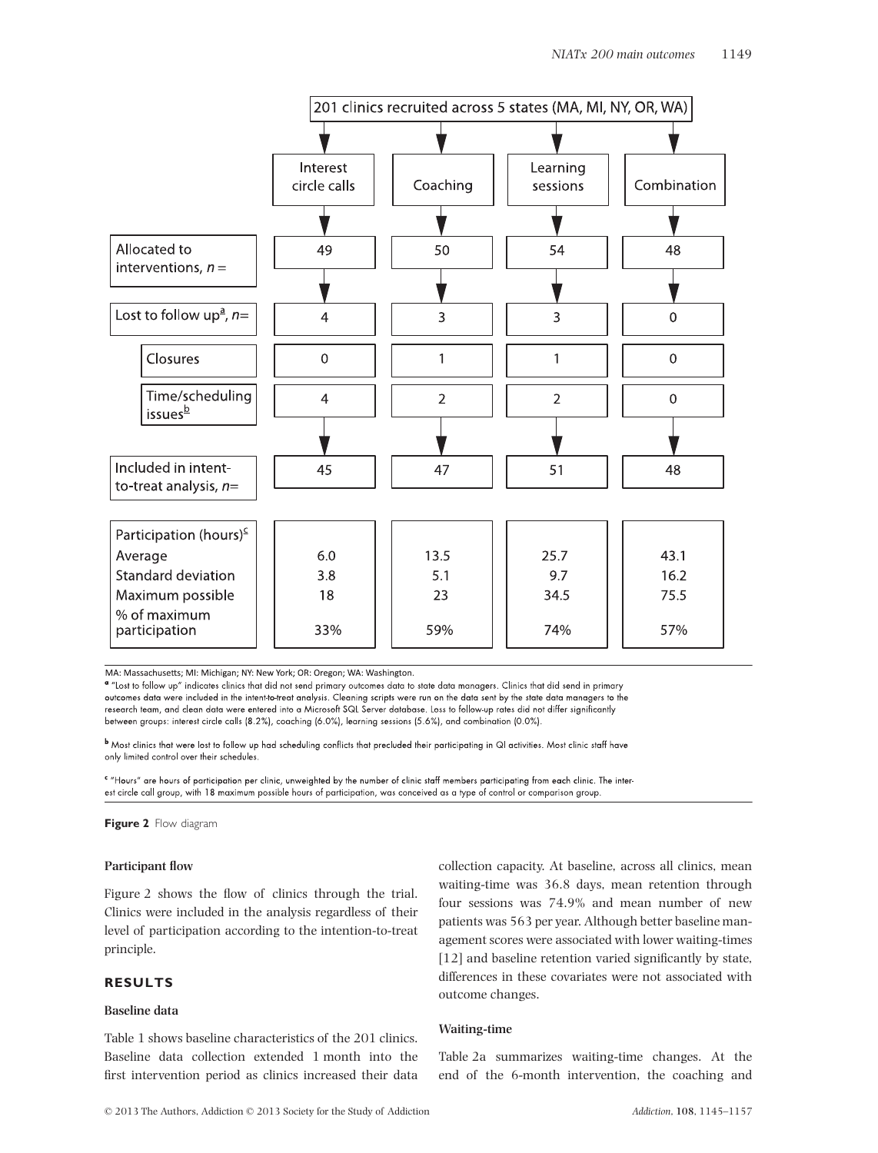

MA: Massachusetts; MI: Michigan; NY: New York; OR: Oregon; WA: Washington.

" "Lost to follow up" indicates clinics that did not send primary outcomes data to state data managers. Clinics that did send in primary outcomes data were included in the intent-to-treat analysis. Cleaning scripts were run on the data sent by the state data managers to the research team, and clean data were entered into a Microsoft SQL Server database. Loss to follow-up rates did not differ significantly between groups: interest circle calls (8.2%), coaching (6.0%), learning sessions (5.6%), and combination (0.0%).

<sup>b</sup> Most clinics that were lost to follow up had scheduling conflicts that precluded their participating in QI activities. Most clinic staff have only limited control over their schedules.

"Hours" are hours of participation per clinic, unweighted by the number of clinic staff members participating from each clinic. The interest circle call group, with 18 maximum possible hours of participation, was conceived as a type of control or comparison group.

**Figure 2** Flow diagram

## **Participant flow**

Figure 2 shows the flow of clinics through the trial. Clinics were included in the analysis regardless of their level of participation according to the intention-to-treat principle.

# **RESULTS**

## **Baseline data**

Table 1 shows baseline characteristics of the 201 clinics. Baseline data collection extended 1 month into the first intervention period as clinics increased their data collection capacity. At baseline, across all clinics, mean waiting-time was 36.8 days, mean retention through four sessions was 74.9% and mean number of new patients was 563 per year. Although better baseline management scores were associated with lower waiting-times [12] and baseline retention varied significantly by state, differences in these covariates were not associated with outcome changes.

# **Waiting-time**

Table 2a summarizes waiting-time changes. At the end of the 6-month intervention, the coaching and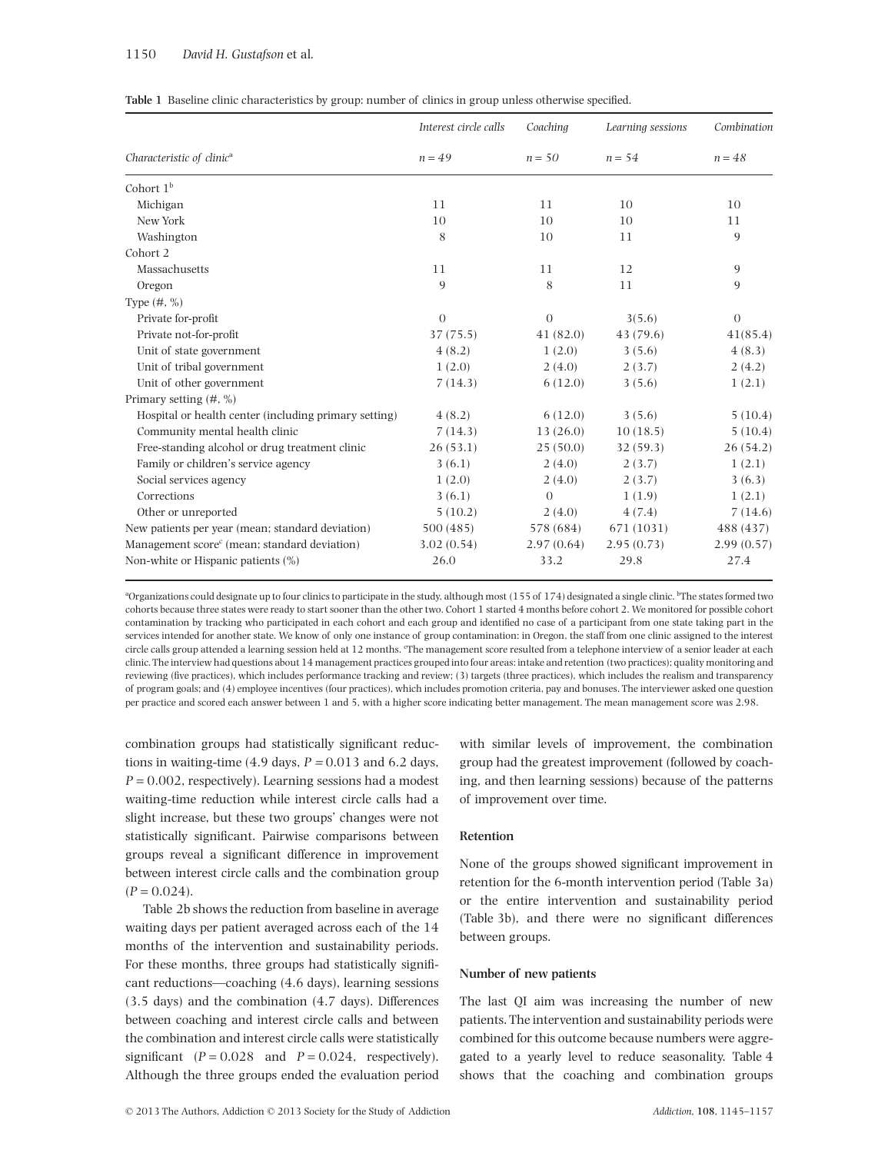## 1150 *David H. Gustafson* et al*.*

| Table 1 Baseline clinic characteristics by group: number of clinics in group unless otherwise specified. |  |  |
|----------------------------------------------------------------------------------------------------------|--|--|
|----------------------------------------------------------------------------------------------------------|--|--|

|                                                          | Interest circle calls | Coaching   | Learning sessions | Combination    |
|----------------------------------------------------------|-----------------------|------------|-------------------|----------------|
| Characteristic of clinic <sup>a</sup>                    | $n = 49$              | $n = 50$   | $n = 54$          | $n = 48$       |
| Cohort $1b$                                              |                       |            |                   |                |
| Michigan                                                 | 11                    | 11         | 10                | 10             |
| New York                                                 | 10                    | 10         | 10                | 11             |
| Washington                                               | 8                     | 10         | 11                | 9              |
| Cohort 2                                                 |                       |            |                   |                |
| Massachusetts                                            | 11                    | 11         | 12                | 9              |
| Oregon                                                   | 9                     | 8          | 11                | 9              |
| Type $(\#,\%)$                                           |                       |            |                   |                |
| Private for-profit                                       | $\overline{0}$        | $\theta$   | 3(5.6)            | $\overline{0}$ |
| Private not-for-profit                                   | 37 (75.5)             | 41(82.0)   | 43 (79.6)         | 41(85.4)       |
| Unit of state government                                 | 4(8.2)                | 1(2.0)     | 3(5.6)            | 4(8.3)         |
| Unit of tribal government                                | 1(2.0)                | 2(4.0)     | 2(3.7)            | 2(4.2)         |
| Unit of other government                                 | 7(14.3)               | 6(12.0)    | 3(5.6)            | 1(2.1)         |
| Primary setting $(\#$ , %)                               |                       |            |                   |                |
| Hospital or health center (including primary setting)    | 4(8.2)                | 6(12.0)    | 3(5.6)            | 5(10.4)        |
| Community mental health clinic                           | 7(14.3)               | 13(26.0)   | 10(18.5)          | 5(10.4)        |
| Free-standing alcohol or drug treatment clinic           | 26(53.1)              | 25(50.0)   | 32(59.3)          | 26(54.2)       |
| Family or children's service agency                      | 3(6.1)                | 2(4.0)     | 2(3.7)            | 1(2.1)         |
| Social services agency                                   | 1(2.0)                | 2(4.0)     | 2(3.7)            | 3(6.3)         |
| Corrections                                              | 3(6.1)                | $\Omega$   | 1(1.9)            | 1(2.1)         |
| Other or unreported                                      | 5(10.2)               | 2(4.0)     | 4(7.4)            | 7(14.6)        |
| New patients per year (mean; standard deviation)         | 500 (485)             | 578 (684)  | 671 (1031)        | 488 (437)      |
| Management score <sup>c</sup> (mean; standard deviation) | 3.02(0.54)            | 2.97(0.64) | 2.95(0.73)        | 2.99(0.57)     |
| Non-white or Hispanic patients (%)                       | 26.0                  | 33.2       | 29.8              | 27.4           |

<sup>a</sup>Organizations could designate up to four clinics to participate in the study, although most (155 of 174) designated a single clinic. <sup>b</sup>The states formed two cohorts because three states were ready to start sooner than the other two. Cohort 1 started 4 months before cohort 2. We monitored for possible cohort contamination by tracking who participated in each cohort and each group and identified no case of a participant from one state taking part in the services intended for another state. We know of only one instance of group contamination: in Oregon, the staff from one clinic assigned to the interest circle calls group attended a learning session held at 12 months. The management score resulted from a telephone interview of a senior leader at each clinic. The interview had questions about 14 management practices grouped into four areas: intake and retention (two practices); quality monitoring and reviewing (five practices), which includes performance tracking and review; (3) targets (three practices), which includes the realism and transparency of program goals; and (4) employee incentives (four practices), which includes promotion criteria, pay and bonuses. The interviewer asked one question per practice and scored each answer between 1 and 5, with a higher score indicating better management. The mean management score was 2.98.

combination groups had statistically significant reductions in waiting-time  $(4.9 \text{ days}, P = 0.013 \text{ and } 6.2 \text{ days})$ *P* = 0.002, respectively). Learning sessions had a modest waiting-time reduction while interest circle calls had a slight increase, but these two groups' changes were not statistically significant. Pairwise comparisons between groups reveal a significant difference in improvement between interest circle calls and the combination group  $(P = 0.024)$ .

Table 2b shows the reduction from baseline in average waiting days per patient averaged across each of the 14 months of the intervention and sustainability periods. For these months, three groups had statistically significant reductions—coaching (4.6 days), learning sessions (3.5 days) and the combination (4.7 days). Differences between coaching and interest circle calls and between the combination and interest circle calls were statistically significant  $(P = 0.028$  and  $P = 0.024$ , respectively). Although the three groups ended the evaluation period

with similar levels of improvement, the combination group had the greatest improvement (followed by coaching, and then learning sessions) because of the patterns of improvement over time.

## **Retention**

None of the groups showed significant improvement in retention for the 6-month intervention period (Table 3a) or the entire intervention and sustainability period (Table 3b), and there were no significant differences between groups.

## **Number of new patients**

The last QI aim was increasing the number of new patients. The intervention and sustainability periods were combined for this outcome because numbers were aggregated to a yearly level to reduce seasonality. Table 4 shows that the coaching and combination groups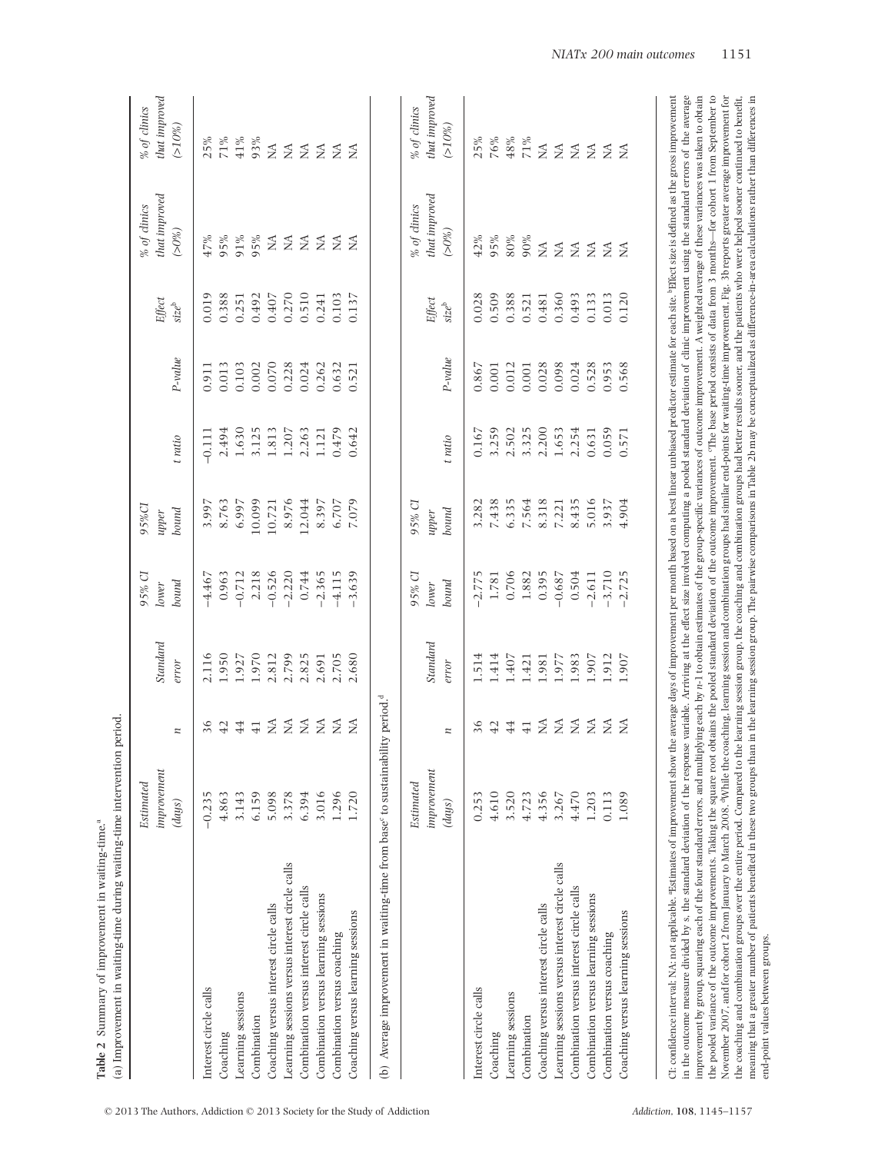|                                                                                                                                                                                                                                                                                                                                                                                                                                                                  | Estimated            |                 |          | 95% CI   | 95%CI  |          |           |                   | % of clinics                                                                                                                                                 | % of clinics                  |
|------------------------------------------------------------------------------------------------------------------------------------------------------------------------------------------------------------------------------------------------------------------------------------------------------------------------------------------------------------------------------------------------------------------------------------------------------------------|----------------------|-----------------|----------|----------|--------|----------|-----------|-------------------|--------------------------------------------------------------------------------------------------------------------------------------------------------------|-------------------------------|
|                                                                                                                                                                                                                                                                                                                                                                                                                                                                  | improvement          |                 | Standard | lower    | upper  |          |           | Effect            | that improved                                                                                                                                                | that improved                 |
|                                                                                                                                                                                                                                                                                                                                                                                                                                                                  | $\left( days\right)$ | z               | error    | bound    | bound  | t ratio  | $P-value$ | $size^{\rm b}$    | $(>0\%)$                                                                                                                                                     | $(>10\%)$                     |
| Interest circle calls                                                                                                                                                                                                                                                                                                                                                                                                                                            | S<br>$-0.23$         | 36              | 2.116    | $-4.467$ | 3.997  | $-0.111$ | 0.911     | 0.019             | 47%                                                                                                                                                          | 25%                           |
| Coaching                                                                                                                                                                                                                                                                                                                                                                                                                                                         | 4.863                | 42              | 1.950    | 0.963    | 8.763  | 2.494    | 0.013     | 0.388             | 95%                                                                                                                                                          | 71%                           |
| Learning sessions                                                                                                                                                                                                                                                                                                                                                                                                                                                | 3.143                | 44              | 1.927    | $-0.712$ | 6.997  | 1.630    | 0.103     | 0.251             | 91%                                                                                                                                                          | 41%                           |
| Combination                                                                                                                                                                                                                                                                                                                                                                                                                                                      | 6.159                | 41              | 1.970    | 2.218    | 10.099 | 3.125    | 0.002     | 0.492             | 95%                                                                                                                                                          | 93%                           |
| Coaching versus interest circle calls                                                                                                                                                                                                                                                                                                                                                                                                                            | 5.098                | $\tilde{\ge}$   | 2.812    | $-0.526$ | 10.721 | 1.813    | 0.070     | 0.407             | $\lesssim$                                                                                                                                                   | ΣÁ.                           |
| Learning sessions versus interest circle calls                                                                                                                                                                                                                                                                                                                                                                                                                   | 3.378                | $\lesssim$      | 2.799    | $-2.220$ | 8.976  | 1.207    | 0.228     | 0.270             | $\lesssim$                                                                                                                                                   | $\lessapprox$                 |
| Combination versus interest circle calls                                                                                                                                                                                                                                                                                                                                                                                                                         | 6.394                | $\lessapprox$   | 2.825    | 0.744    | 12.044 | 2.263    | 0.024     | 0.510             | $\lessapprox$                                                                                                                                                | $\lessgtr$                    |
| Combination versus learning sessions                                                                                                                                                                                                                                                                                                                                                                                                                             | 3.016                | $\lessgtr$      | 2.691    | $-2.365$ | 8.397  | 1.121    | 0.262     | 0.241             | ≨ ≨                                                                                                                                                          | $\tilde{\geq}$ $\tilde{\geq}$ |
| Combination versus coaching                                                                                                                                                                                                                                                                                                                                                                                                                                      | 1.296                | $\tilde{\ge}$   | 2.705    | $-4.115$ | 6.707  | 0.479    | 0.632     | 0.103             |                                                                                                                                                              |                               |
| Coaching versus learning sessions                                                                                                                                                                                                                                                                                                                                                                                                                                | 1.720                | $\tilde{z}$     | 2.680    | $-3.639$ | 7.079  | 0.642    | 0.521     | 0.137             | ΣÁ                                                                                                                                                           | $\beta$                       |
| (b) Average improvement in waiting-time from base <sup>c</sup> to sustainability period. <sup>d</sup>                                                                                                                                                                                                                                                                                                                                                            |                      |                 |          |          |        |          |           |                   |                                                                                                                                                              |                               |
|                                                                                                                                                                                                                                                                                                                                                                                                                                                                  | Estimated            |                 |          | 95% CI   | 95% CI |          |           |                   | % of clinics                                                                                                                                                 | % of dinics                   |
|                                                                                                                                                                                                                                                                                                                                                                                                                                                                  | improvement          |                 | Standard | Iower    | upper  |          |           | Effect            | that improved                                                                                                                                                | that improved                 |
|                                                                                                                                                                                                                                                                                                                                                                                                                                                                  | (days)               | z               | error    | bound    | bound  | t ratio  | $P-value$ | size <sup>b</sup> | $(>0\%)$                                                                                                                                                     | $( > 10\%)$                   |
| Interest circle calls                                                                                                                                                                                                                                                                                                                                                                                                                                            | 0.253                | 36              | 1.514    | $-2.775$ | 3.282  | 0.167    | 0.867     | 0.028             | 42%                                                                                                                                                          | 25%                           |
| Coaching                                                                                                                                                                                                                                                                                                                                                                                                                                                         | 4.610                | 42              | 1.414    | 1.781    | 7.438  | 3.259    | 0.001     | 0.509             | 95%                                                                                                                                                          | 76%                           |
| Learning sessions                                                                                                                                                                                                                                                                                                                                                                                                                                                | 3.520                | 44              | 1.407    | 0.706    | 6.335  | 2.502    | 0.012     | 0.388             | $80\%$                                                                                                                                                       | 48%                           |
| Combination                                                                                                                                                                                                                                                                                                                                                                                                                                                      | 4.723                | $\overline{41}$ | 1.421    | 1.882    | 7.564  | 3.325    | 0.001     | 0.521             | 90%                                                                                                                                                          | $71\%$                        |
| Coaching versus interest circle calls                                                                                                                                                                                                                                                                                                                                                                                                                            | 4.356                | $\lessapprox$   | 1.981    | 0.395    | 8.318  | 2.200    | 0.028     | 0.481             | $\mathop{\rm NA}\nolimits$                                                                                                                                   | $\lesssim$                    |
| Learning sessions versus interest circle calls                                                                                                                                                                                                                                                                                                                                                                                                                   | 3.267                |                 | 1.977    | $-0.687$ | 7.221  | 1.653    | 0.098     | 0.360             | $\lessapprox$                                                                                                                                                | $\lessapprox$                 |
| Combination versus interest circle calls                                                                                                                                                                                                                                                                                                                                                                                                                         | 4.470                | $Z \nleq Z$     | 1.983    | 0.504    | 8.435  | 2.254    | 0.024     | 0.493             | $\lesssim$                                                                                                                                                   | $\tilde{\geq}$ $\tilde{\geq}$ |
| Combination versus learning sessions                                                                                                                                                                                                                                                                                                                                                                                                                             | 1.203                |                 | 1.907    | $-2.611$ | 5.016  | 0.631    | 0.528     | 0.133             | $\tilde{\mathbf{z}}$                                                                                                                                         |                               |
| Combination versus coaching                                                                                                                                                                                                                                                                                                                                                                                                                                      | 0.113                | $\beta$         | 1.912    | $-3.710$ | 3.937  | 0.059    | 0.953     | 0.013             | ΣÁ                                                                                                                                                           | ΔÁ.                           |
| Coaching versus learning sessions                                                                                                                                                                                                                                                                                                                                                                                                                                | 1.089                | Ž               | 1.907    | $-2.725$ | 4.904  | 0.571    | 0.568     | 0.120             | $\tilde{z}$                                                                                                                                                  | $\tilde{z}$                   |
| CI: confidence interval; NA: not applicable. "Estimates of improvement show                                                                                                                                                                                                                                                                                                                                                                                      |                      |                 |          |          |        |          |           |                   | the average days of improvement per month based on a best linear unbiased predictor estimate for each site. Piffect size is defined as the gross improvement |                               |
| improvement by group, squaring each of the four standard errors, and multiplying each by n-1 to obtain estimates of the group-specific variances of outcome improvement. A weighted average of these variances was taken to ob<br>in the outcome measure divided by s, the standard deviation of the response variable. Arriving a the effect size involved computing a pooled standard deviation of clinic improvement using the standard errors of the average |                      |                 |          |          |        |          |           |                   |                                                                                                                                                              |                               |
| the pooled variance of the outcome improvements. Taking the square root obtains the pooled standard deviation of the outcome improvement. The base period consists of data from 3 months—for cohort 1 from September to                                                                                                                                                                                                                                          |                      |                 |          |          |        |          |           |                   |                                                                                                                                                              |                               |
| November 2007, and for cohort 2 from January to March 2008. "While the coaching, learning session and combination groups had similar end-points for waiting-time improvement. Fig. 3b reports greater average improvement for<br>the coaching and combination groups over the entire period. Compared to the learning session group, the coaching and combination groups had better results sooner, and the patients who were helped sooner continued to benefi  |                      |                 |          |          |        |          |           |                   |                                                                                                                                                              |                               |
| meaning that a greater number of patients benefited in these two groups than in the learning session group. The pairwise comparisons in Table 2b may be conceptualized as difference-in-area calculations rather than differen<br>end-point values between groups.                                                                                                                                                                                               |                      |                 |          |          |        |          |           |                   |                                                                                                                                                              |                               |

**Table 2** Summary of improvement in waiting-time.<sup>a</sup>

Table 2 Summary of improvement in waiting-time.<sup>ª</sup>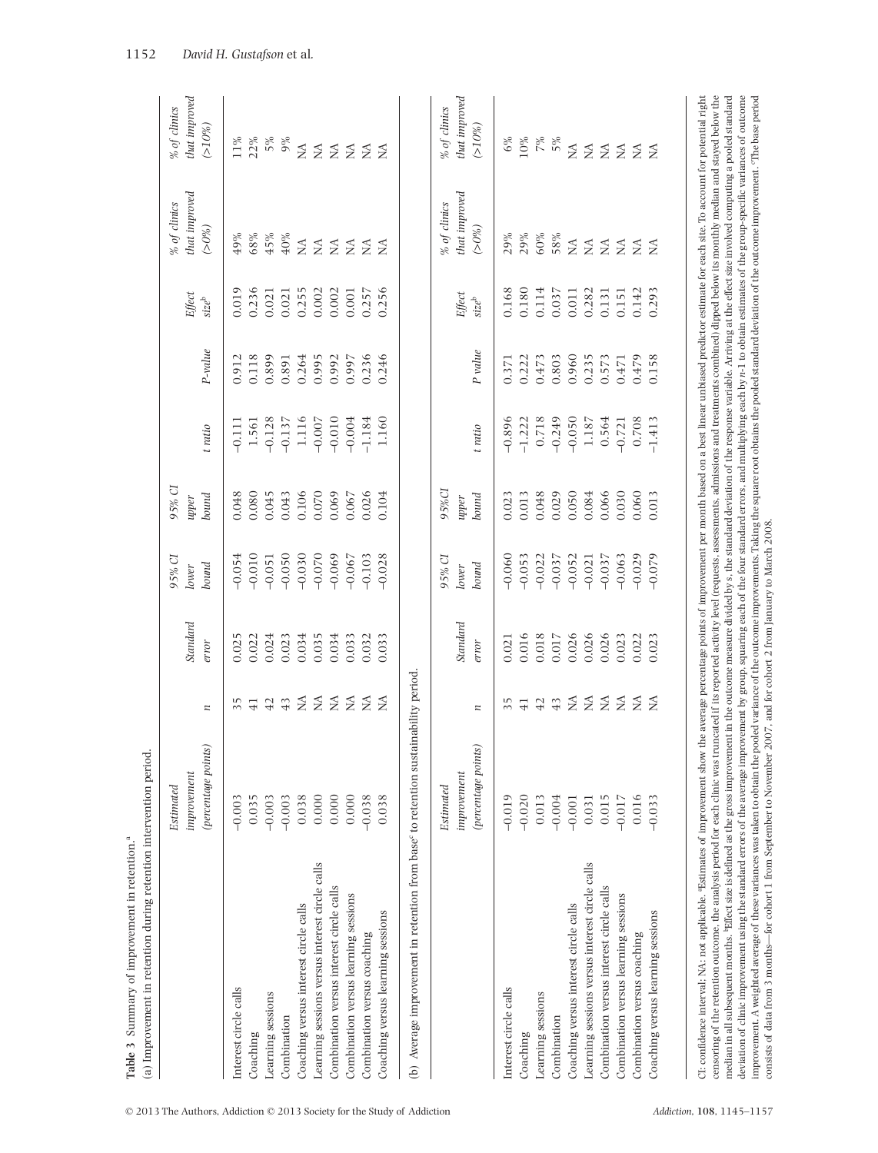|                                                                                                                                                                                                                                                                                                               | Estimated           |                                           |          | 95% CI   | 95% CI |          |         |                              | % of clinics                                                                                                                                            | % of dinics       |
|---------------------------------------------------------------------------------------------------------------------------------------------------------------------------------------------------------------------------------------------------------------------------------------------------------------|---------------------|-------------------------------------------|----------|----------|--------|----------|---------|------------------------------|---------------------------------------------------------------------------------------------------------------------------------------------------------|-------------------|
|                                                                                                                                                                                                                                                                                                               | improvement         |                                           | Standard | lower    | upper  |          |         | Effect                       | that improved                                                                                                                                           | hat improved      |
|                                                                                                                                                                                                                                                                                                               | (percentage points) | z                                         | error    | bound    | bound  | t ratio  | P-value | $\mathrm{size}^{\mathrm{b}}$ | $(>0\%)$                                                                                                                                                | $( > 10\%)$       |
| Interest circle calls                                                                                                                                                                                                                                                                                         | $-0.003$            | 35                                        | 0.025    | $-0.054$ | 0.048  | $-0.111$ | 0.912   | 0.019                        | 49%                                                                                                                                                     | $11\%$            |
| Coaching                                                                                                                                                                                                                                                                                                      | 0.035               | $\overline{41}$                           | 0.022    | $-0.010$ | 0.080  | 1.561    | 0.118   | 0.236                        | 68%                                                                                                                                                     |                   |
| Learning sessions                                                                                                                                                                                                                                                                                             | $-0.003$            | 42                                        | 0.024    | $-0.051$ | 0.045  | $-0.128$ | 0.899   | 0.021                        | 45%                                                                                                                                                     | $22%$<br>5%<br>9% |
| Combination                                                                                                                                                                                                                                                                                                   | $-0.003$            | 43                                        | 0.023    | $-0.050$ | 0.043  | $-0.137$ | 0.891   | 0.021                        | 40%                                                                                                                                                     |                   |
| Coaching versus interest circle calls                                                                                                                                                                                                                                                                         | 0.038               |                                           | 0.034    | $-0.030$ | 0.106  | 1.116    | 0.264   | 0.255                        | $\lesssim$                                                                                                                                              |                   |
| Learning sessions versus interest circle calls                                                                                                                                                                                                                                                                | 0.000               | $\Sigma \Sigma$                           | 0.035    | $-0.070$ | 0.070  | $-0.007$ | 0.995   | 0.002                        | $\lessgtr$                                                                                                                                              | ZZZZ              |
| Combination versus interest circle calls                                                                                                                                                                                                                                                                      | 0.000               |                                           | 0.034    | $-0.069$ | 0.069  | $-0.010$ | 0.992   | 0.002                        | $\lessgtr$                                                                                                                                              |                   |
| Combination versus learning sessions                                                                                                                                                                                                                                                                          | 0.000               | $\beta$                                   | 0.033    | $-0.067$ | 0.067  | $-0.004$ | 0.997   | 0.001                        | $\lessgtr$                                                                                                                                              |                   |
| Combination versus coaching                                                                                                                                                                                                                                                                                   | $-0.038$            | $\lessgtr$                                | 0.032    | $-0.103$ | 0.026  | $-1.184$ | 0.236   | 0.257                        | $\lessgtr$                                                                                                                                              |                   |
| Coaching versus learning sessions                                                                                                                                                                                                                                                                             | 0.038               | £                                         | 0.033    | $-0.028$ | 0.104  | 1.160    | 0.246   | 0.256                        | $\tilde{z}$                                                                                                                                             | $\tilde{z}$       |
| (b) Average improvement in retention from base <sup>c</sup> to retention sustainability period                                                                                                                                                                                                                |                     |                                           |          |          |        |          |         |                              |                                                                                                                                                         |                   |
|                                                                                                                                                                                                                                                                                                               | Estimated           |                                           |          | 95% CI   | 95%CI  |          |         |                              | % of clinics                                                                                                                                            | % of clinics      |
|                                                                                                                                                                                                                                                                                                               | improvement         |                                           | Standard | Iower    | upper  |          |         | Effect                       | that improved                                                                                                                                           | that improved     |
|                                                                                                                                                                                                                                                                                                               | (percentage points) | z                                         | error    | bound    | bound  | t ratio  | P value | $\mathrm{size}^{\mathrm{b}}$ | $( > 0\%)$                                                                                                                                              | $( > 10\%)$       |
| Interest circle calls                                                                                                                                                                                                                                                                                         | $-0.019$            | 35                                        | 0.021    | $-0.060$ | 0.023  | $-0.896$ | 0.371   | 0.168                        | 29%                                                                                                                                                     | $6\%$             |
| Coaching                                                                                                                                                                                                                                                                                                      | $-0.020$            | $\overline{41}$                           | 0.016    | $-0.053$ | 0.013  | $-1.222$ | 0.222   | 0.180                        | 29%                                                                                                                                                     | 10%               |
| Learning sessions                                                                                                                                                                                                                                                                                             | 0.013               | 42                                        | 0.018    | $-0.022$ | 0.048  | 0.718    | 0.473   | 0.114                        | 60%                                                                                                                                                     |                   |
| Combination                                                                                                                                                                                                                                                                                                   | $-0.004$            | 43                                        | 0.017    | $-0.037$ | 0.029  | $-0.249$ | 0.803   | 0.037                        | 58%                                                                                                                                                     | $7\%$ 5%          |
| Coaching versus interest circle calls                                                                                                                                                                                                                                                                         | $-0.001$            | $\lessapprox$                             | 0.026    | $-0.052$ | 0.050  | $-0.050$ | 0.960   | 0.011                        | $\lesssim$                                                                                                                                              |                   |
| Learning sessions versus interest circle calls                                                                                                                                                                                                                                                                | 0.031               | $\mathfrak{Z}$                            | 0.026    | $-0.021$ | 0.084  | 1.187    | 0.235   | 0.282                        | $\lesssim$                                                                                                                                              | <b>SESSES</b>     |
| Combination versus interest circle calls                                                                                                                                                                                                                                                                      | 0.015               | $\widetilde{\Sigma}$ $\widetilde{\Sigma}$ | 0.026    | $-0.037$ | 0.066  | 0.564    | 0.573   | 0.131                        | $\lessgtr$                                                                                                                                              |                   |
| Combination versus learning sessions                                                                                                                                                                                                                                                                          | $-0.017$            |                                           | 0.023    | $-0.063$ | 0.030  | $-0.721$ | 0.471   | 0.151                        | $\lessgtr$                                                                                                                                              |                   |
| Combination versus coaching                                                                                                                                                                                                                                                                                   | 0.016               | $\tilde{\mathbf{z}}$                      | 0.022    | $-0.029$ | 0.060  | 0.708    | 0.479   | 0.142                        | $\lesssim$                                                                                                                                              |                   |
| Coaching versus learning sessions                                                                                                                                                                                                                                                                             | $-0.033$            | $\tilde{z}$                               | 0.023    | $-0.079$ | 0.013  | $-1.413$ | 0.158   | 0.293                        | $\tilde{\ge}$                                                                                                                                           |                   |
|                                                                                                                                                                                                                                                                                                               |                     |                                           |          |          |        |          |         |                              |                                                                                                                                                         |                   |
| censoring of the retention outcome, the analysis period for each clinic was truncated if its reported activity level (requests, assessments, admissions and treatments combined) dipped below its monthly median and stayed be<br>CI: confidence interval; NA: not applicable. "Estimates of improvement show |                     |                                           |          |          |        |          |         |                              | the average percentage points of improvement per month based on a best linear unbiased predictor estimate for each site. To account for potential right |                   |
| median in all subsequent months. Pifiect size is defined as the gross improvement in the outcome measure divided by s, the standard deviation of the response variable. Arriving at the effect size involved computing a poole                                                                                |                     |                                           |          |          |        |          |         |                              |                                                                                                                                                         |                   |

**Table** 3 Summary of improvement in retention.<sup>a</sup>

Table 3 Summary of improvement in retention.<sup>ª</sup>

median in all subsequent months. Piffect size is defined as the gross improvement in the outcome measure divided by s. the standard deviation of the response variable. Arriving at the effect size involved computing a poole deviation of clinic improvement using the standard errors of the average improvement by group, squaring each of the four standard errors, and multiplying each by n-1 to obtain estimates of the group-specific variances of o improvement. A weighted average of these variances was taken to obtain the pooled variance of the outcome improvements. Taking the square root obtains the pooled standard deviation of the outcome improvement. The base peri

deviation of clinic improvement using the standard errors of the average improvement by group, squaring each of the four standard errors, and multiplying each by  $n\text{-}1$  to obtain estimates of the group-specific variance

consists of data from 3 months—for cohort 1 from September to November 2007, and for cohort 2 from January to March 2008.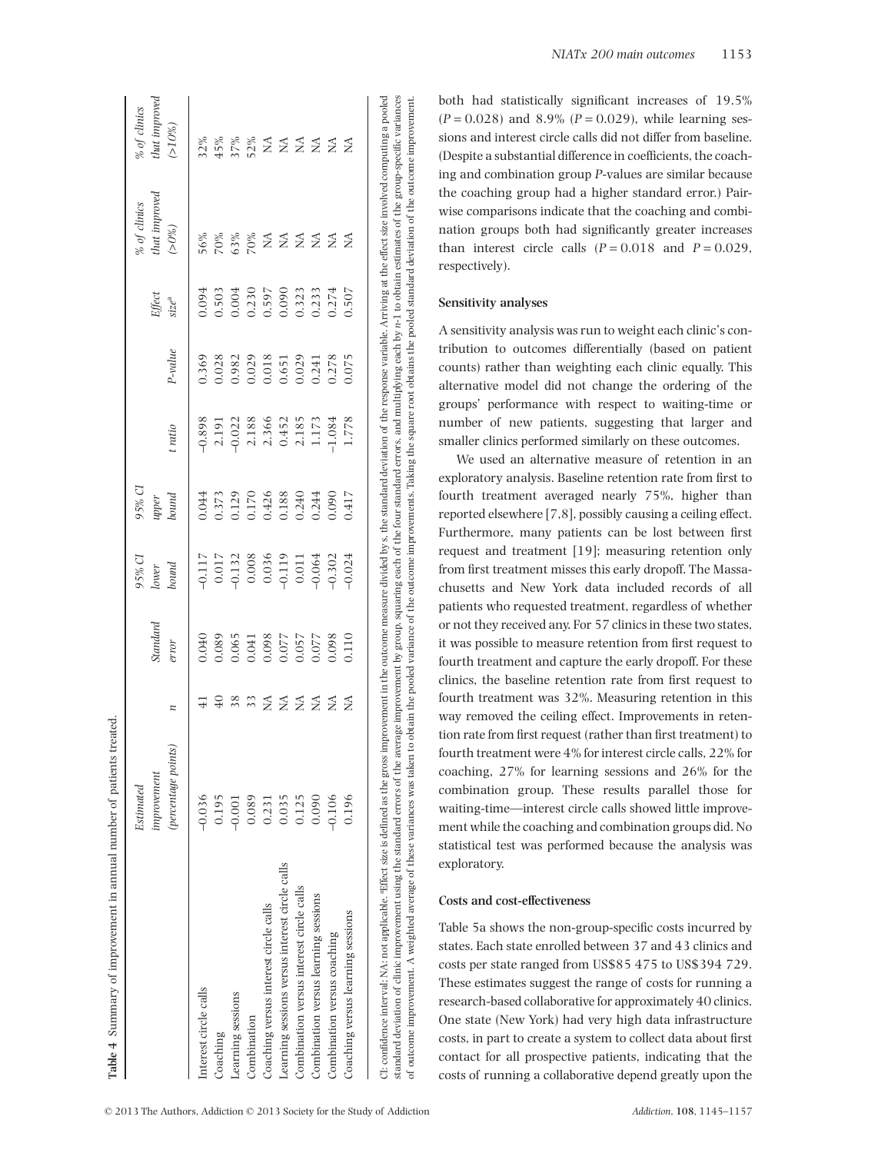|                                                | Estimated           |                 |                                  | 95% CI                                                | 95% CI         |                                           |           |                                  | % of clinics         | % of clinics        |
|------------------------------------------------|---------------------|-----------------|----------------------------------|-------------------------------------------------------|----------------|-------------------------------------------|-----------|----------------------------------|----------------------|---------------------|
|                                                | improvement         |                 | Standard                         | Iower                                                 | upper          |                                           |           | Effect                           | that improved        | that improved       |
|                                                | (percentage points) | z               | error                            | bound                                                 | bound          | t ratio                                   | $P-value$ | $size^a$                         | (>0%)                | $(>10\%)$           |
| Interest circle calls                          | $-0.036$            |                 | 0.040                            | $-0.117$                                              | 0.044          | $-0.898$                                  | 0.369     | 0.094                            | 56%                  | 32%                 |
| Coaching                                       | 0.195               | $\overline{40}$ | 0.089                            | $0.017\,$                                             | 0.373          | 2.191                                     | 0.028     | 0.503                            |                      | 45%                 |
| Learning sessions                              | $-0.001$            | 38              |                                  |                                                       | 0.129          |                                           | 0.982     | 0.004                            | 8888727              |                     |
| Combination                                    | 0.089               | $\overline{33}$ |                                  |                                                       |                |                                           | 0.029     |                                  |                      |                     |
| Coaching versus interest circle calls          | 0.231               | ≸               | 750'0<br>860'0<br>860'0<br>220'0 | $-0.132$<br>0.008<br>0.036<br>0.036<br>0.011<br>0.011 | 0.170<br>0.426 | $-0.022$<br>$2.188$<br>$2.366$<br>$0.452$ | 0.018     | 0.230<br>0.597<br>0.090<br>0.323 |                      | $2888$ $2528$ $252$ |
| Learning sessions versus interest circle calls | 0.035               | Š               |                                  |                                                       | 0.188          |                                           |           |                                  |                      |                     |
| Combination versus interest circle calls       | 0.125               | $\lessapprox$   |                                  |                                                       | 0.240          | 2.185<br>1.173                            | 0.029     |                                  |                      |                     |
| Combination versus learning sessions           | 0.090               | $\tilde{z}$     | 0.077                            |                                                       | 0.244          |                                           | 0.241     | 0.233                            | $\tilde{\mathbf{z}}$ |                     |
| Combination versus coaching                    | $-0.106$            | ₹               | 0.098                            | 0.302                                                 | 0.090          | $-1.084$                                  | 0.278     | 0.274                            | £                    |                     |
| Coaching versus learning sessions              | 0.196               | ≨               | 0.110                            | $-0.024$                                              | 0.417          | 1.778                                     | 0.075     | 0.507                            | ≨                    | ≸                   |

both had statistically significant increases of 19.5%  $(P = 0.028)$  and 8.9%  $(P = 0.029)$ , while learning sessions and interest circle calls did not differ from baseline. (Despite a substantial difference in coefficients, the coaching and combination group *P*-values are similar because the coaching group had a higher standard error.) Pairwise comparisons indicate that the coaching and combination groups both had significantly greater increases than interest circle calls  $(P = 0.018$  and  $P = 0.029$ , respectively).

## **Sensitivity analyses**

A sensitivity analysis was run to weight each clinic's contribution to outcomes differentially (based on patient counts) rather than weighting each clinic equally. This alternative model did not change the ordering of the groups' performance with respect to waiting-time or number of new patients, suggesting that larger and smaller clinics performed similarly on these outcomes.

We used an alternative measure of retention in an exploratory analysis. Baseline retention rate from first to fourth treatment averaged nearly 75%, higher than reported elsewhere [7,8], possibly causing a ceiling effect. Furthermore, many patients can be lost between first request and treatment [19]; measuring retention only from first treatment misses this early dropoff. The Massachusetts and New York data included records of all patients who requested treatment, regardless of whether or not they received any. For 57 clinics in these two states, it was possible to measure retention from first request to fourth treatment and capture the early dropoff. For these clinics, the baseline retention rate from first request to fourth treatment was 32%. Measuring retention in this way removed the ceiling effect. Improvements in retention rate from first request (rather than first treatment) to fourth treatment were 4% for interest circle calls, 22% for coaching, 27% for learning sessions and 26% for the combination group. These results parallel those for waiting-time—interest circle calls showed little improvement while the coaching and combination groups did. No statistical test was performed because the analysis was exploratory.

# **Costs and cost-effectiveness**

Table 5a shows the non-group-specific costs incurred by states. Each state enrolled between 37 and 43 clinics and costs per state ranged from US\$85 475 to US\$394 729. These estimates suggest the range of costs for running a research-based collaborative for approximately 40 clinics. One state (New York) had very high data infrastructure costs, in part to create a system to collect data about first contact for all prospective patients, indicating that the costs of running a collaborative depend greatly upon the

**Table 4**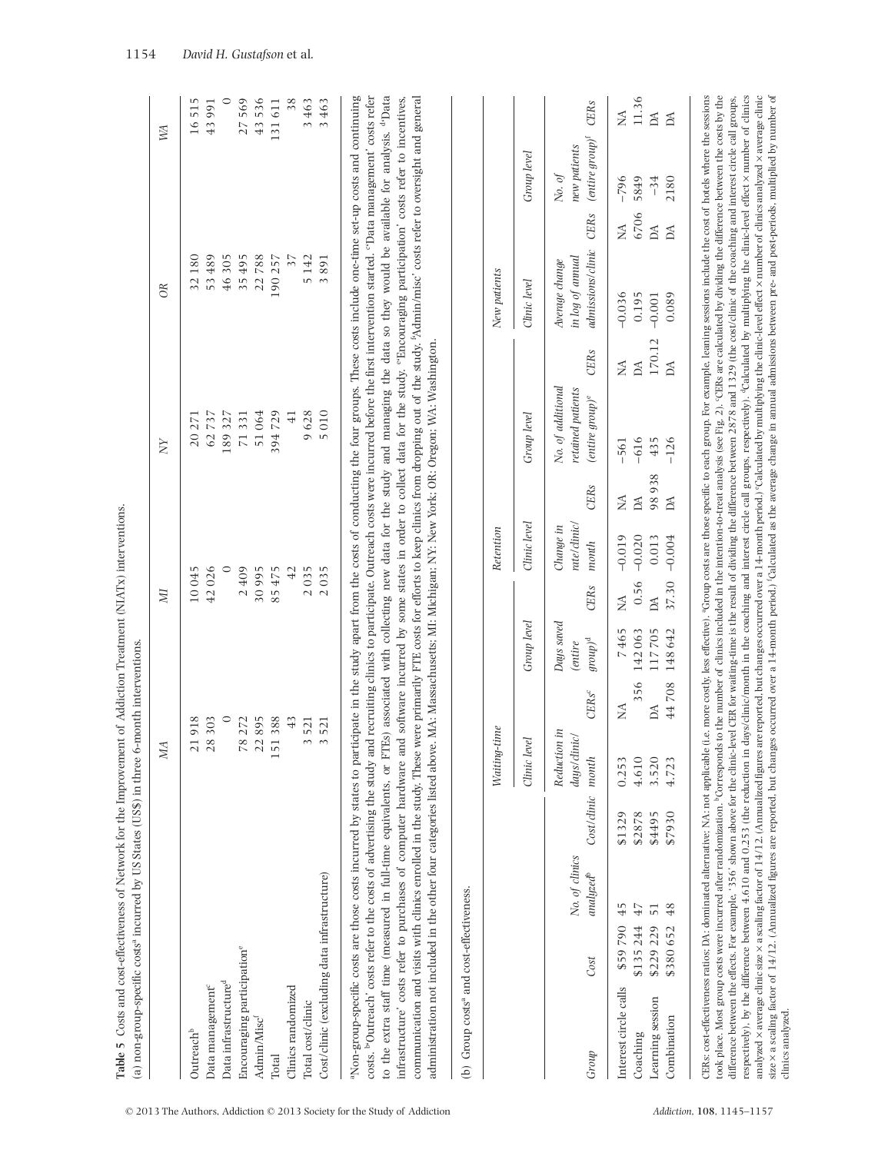|                                             |           |                                         |             | MА                                    |                          |                                                  | ZД            |                                   |              | $_{\rm NN}$                                                  |              | $\alpha$                                                |                  | M                                                         |              |
|---------------------------------------------|-----------|-----------------------------------------|-------------|---------------------------------------|--------------------------|--------------------------------------------------|---------------|-----------------------------------|--------------|--------------------------------------------------------------|--------------|---------------------------------------------------------|------------------|-----------------------------------------------------------|--------------|
| Outreach <sup>b</sup>                       |           |                                         |             | 21918                                 |                          |                                                  | 10045         |                                   |              | 20 271                                                       |              | 32180                                                   |                  |                                                           | 515<br>16    |
| Data management <sup>e</sup>                |           |                                         |             | 28303                                 |                          |                                                  | 42026         |                                   |              | 62737                                                        |              | 53489                                                   |                  |                                                           | 43991        |
| Data infrastructure <sup>d</sup>            |           |                                         |             |                                       | $\circ$                  |                                                  |               | $\circ$                           |              | 189327                                                       |              | 46305                                                   |                  |                                                           | ○            |
| Encouraging participation <sup>e</sup>      |           |                                         |             | 78 272                                |                          |                                                  | 2409          |                                   |              | 71331                                                        |              | 35495                                                   |                  |                                                           | 569<br>27    |
| Admin/Misc <sup>1</sup>                     |           |                                         |             | 22895                                 |                          |                                                  | 30995         |                                   |              | 51064                                                        |              | 22788                                                   |                  |                                                           | 43536        |
| Total                                       |           |                                         |             | 51388                                 |                          |                                                  | 85475         |                                   |              | 394729                                                       |              | 190257                                                  |                  |                                                           | 131611       |
| Clinics randomized                          |           |                                         |             |                                       | $\frac{4}{3}$            |                                                  |               | $\overline{42}$                   |              | $\frac{1}{4}$                                                |              | $\frac{27}{5}$                                          |                  |                                                           | 38           |
| Total cost/clinic                           |           |                                         |             | 521<br>$\infty$                       |                          |                                                  | 035<br>$\sim$ |                                   |              | 9628                                                         |              | 5142                                                    |                  |                                                           | 3463         |
| Cost/clinic (excluding data infrastructure) |           |                                         |             | 521<br>$\infty$                       |                          |                                                  | 2035          |                                   |              | 5010                                                         |              | 891<br>$\infty$                                         |                  |                                                           | 3463         |
|                                             |           |                                         |             | Waiting-time                          |                          |                                                  |               | Retention                         |              |                                                              |              | New patients                                            |                  |                                                           |              |
|                                             |           |                                         |             | Clinic level                          |                          | Group level                                      |               | Clinic level                      |              | Group level                                                  |              | Clinic level                                            |                  | Group level                                               |              |
| Group                                       | Cost      | No. of clinics<br>analyzed <sup>b</sup> | Cost/clinic | Reduction in<br>days/clinic/<br>month | <b>CERs</b> <sup>c</sup> | Days saved<br>$group^{\rm d}$<br><i>(entire)</i> | <b>CERs</b>   | rate/dinic/<br>Change in<br>month | <b>CERs</b>  | No. of additional<br>retained patients<br>$(entire group)^e$ | <b>CERs</b>  | admissions/clinic<br>in log of annual<br>Average change | <b>CERs</b>      | $(\emph{entire group})^{\rm f}$<br>new patients<br>No. of | <b>CERs</b>  |
| Interest circle calls                       | \$59790   | 45                                      | \$1329      | 0.253                                 | ₹                        | 465<br>$\overline{z}$                            | MA            | $-0.019$                          | Ź            | $-561$                                                       | MA           | $-0.036$                                                | $\sum_{i=1}^{n}$ | $-796$                                                    | Ź            |
| Coaching                                    | \$135244  | 47                                      | \$2878      | 4.610                                 | 356                      | 142063                                           | 0.56          | $-0.020$                          | <b>DA</b>    | $-616$                                                       | $\mathbb{A}$ | 0.195                                                   | 6706             | 5849                                                      | 11.36        |
| Learning session                            | \$229 229 | $\overline{51}$                         | \$4495      | 3.520                                 | DA                       | 117705                                           | DA            | 0.013                             | 98938        | 435                                                          | 170.12       | $-0.001$                                                | $\mathbb{A}$     | $-34$                                                     | DA           |
| Combination                                 | \$380652  | 48                                      | \$7930      | 4.723                                 | 44708                    | 148 642                                          | 37.30         | $-0.004$                          | $\mathbb{A}$ | $-126$                                                       | M            | 0.089                                                   | $\mathbb{A}$     | 2180                                                      | $\mathbb{A}$ |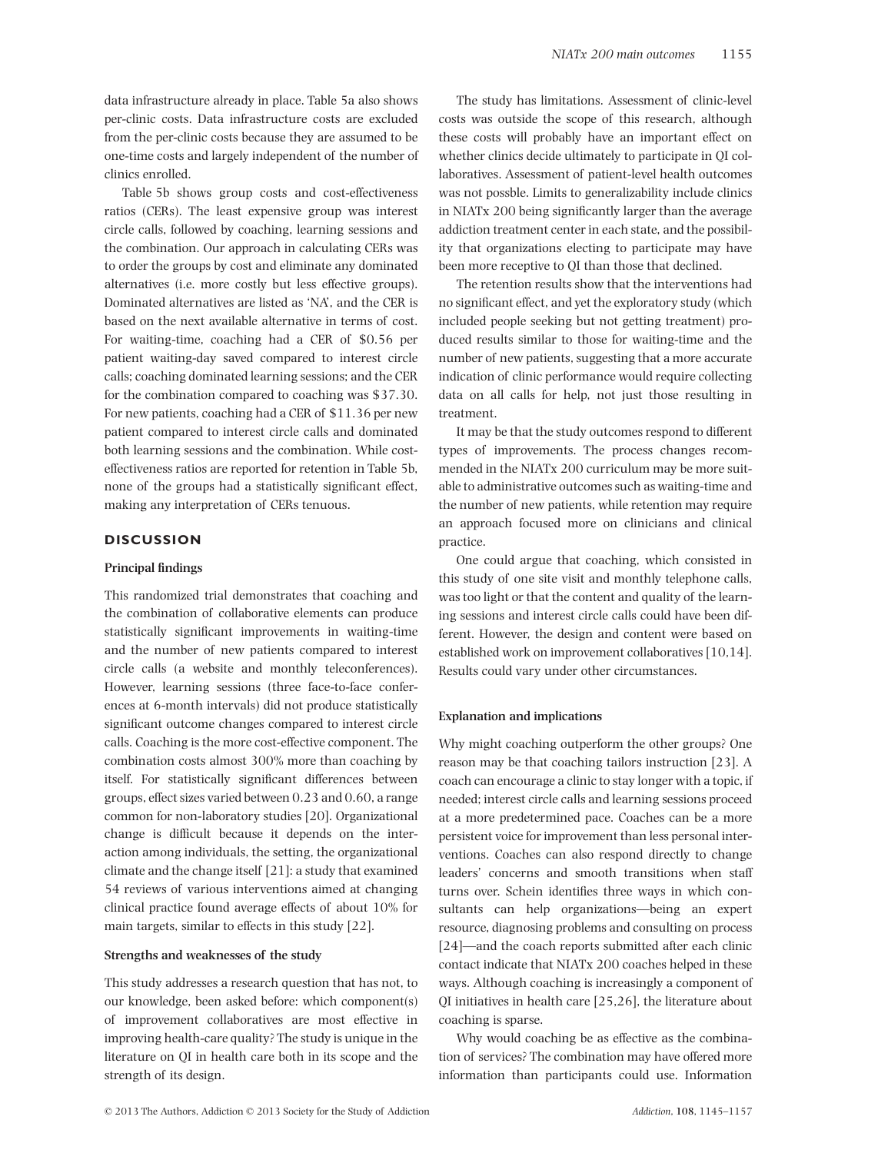data infrastructure already in place. Table 5a also shows per-clinic costs. Data infrastructure costs are excluded from the per-clinic costs because they are assumed to be one-time costs and largely independent of the number of clinics enrolled.

Table 5b shows group costs and cost-effectiveness ratios (CERs). The least expensive group was interest circle calls, followed by coaching, learning sessions and the combination. Our approach in calculating CERs was to order the groups by cost and eliminate any dominated alternatives (i.e. more costly but less effective groups). Dominated alternatives are listed as 'NA', and the CER is based on the next available alternative in terms of cost. For waiting-time, coaching had a CER of \$0.56 per patient waiting-day saved compared to interest circle calls; coaching dominated learning sessions; and the CER for the combination compared to coaching was \$37.30. For new patients, coaching had a CER of \$11.36 per new patient compared to interest circle calls and dominated both learning sessions and the combination. While costeffectiveness ratios are reported for retention in Table 5b, none of the groups had a statistically significant effect, making any interpretation of CERs tenuous.

# **DISCUSSION**

## **Principal findings**

This randomized trial demonstrates that coaching and the combination of collaborative elements can produce statistically significant improvements in waiting-time and the number of new patients compared to interest circle calls (a website and monthly teleconferences). However, learning sessions (three face-to-face conferences at 6-month intervals) did not produce statistically significant outcome changes compared to interest circle calls. Coaching is the more cost-effective component. The combination costs almost 300% more than coaching by itself. For statistically significant differences between groups, effect sizes varied between 0.23 and 0.60, a range common for non-laboratory studies [20]. Organizational change is difficult because it depends on the interaction among individuals, the setting, the organizational climate and the change itself [21]: a study that examined 54 reviews of various interventions aimed at changing clinical practice found average effects of about 10% for main targets, similar to effects in this study [22].

#### **Strengths and weaknesses of the study**

This study addresses a research question that has not, to our knowledge, been asked before: which component(s) of improvement collaboratives are most effective in improving health-care quality? The study is unique in the literature on QI in health care both in its scope and the strength of its design.

The study has limitations. Assessment of clinic-level costs was outside the scope of this research, although these costs will probably have an important effect on whether clinics decide ultimately to participate in QI collaboratives. Assessment of patient-level health outcomes was not possble. Limits to generalizability include clinics in NIATx 200 being significantly larger than the average addiction treatment center in each state, and the possibility that organizations electing to participate may have been more receptive to QI than those that declined.

The retention results show that the interventions had no significant effect, and yet the exploratory study (which included people seeking but not getting treatment) produced results similar to those for waiting-time and the number of new patients, suggesting that a more accurate indication of clinic performance would require collecting data on all calls for help, not just those resulting in treatment.

It may be that the study outcomes respond to different types of improvements. The process changes recommended in the NIATx 200 curriculum may be more suitable to administrative outcomes such as waiting-time and the number of new patients, while retention may require an approach focused more on clinicians and clinical practice.

One could argue that coaching, which consisted in this study of one site visit and monthly telephone calls, was too light or that the content and quality of the learning sessions and interest circle calls could have been different. However, the design and content were based on established work on improvement collaboratives [10,14]. Results could vary under other circumstances.

## **Explanation and implications**

Why might coaching outperform the other groups? One reason may be that coaching tailors instruction [23]. A coach can encourage a clinic to stay longer with a topic, if needed; interest circle calls and learning sessions proceed at a more predetermined pace. Coaches can be a more persistent voice for improvement than less personal interventions. Coaches can also respond directly to change leaders' concerns and smooth transitions when staff turns over. Schein identifies three ways in which consultants can help organizations—being an expert resource, diagnosing problems and consulting on process [24]—and the coach reports submitted after each clinic contact indicate that NIATx 200 coaches helped in these ways. Although coaching is increasingly a component of QI initiatives in health care [25,26], the literature about coaching is sparse.

Why would coaching be as effective as the combination of services? The combination may have offered more information than participants could use. Information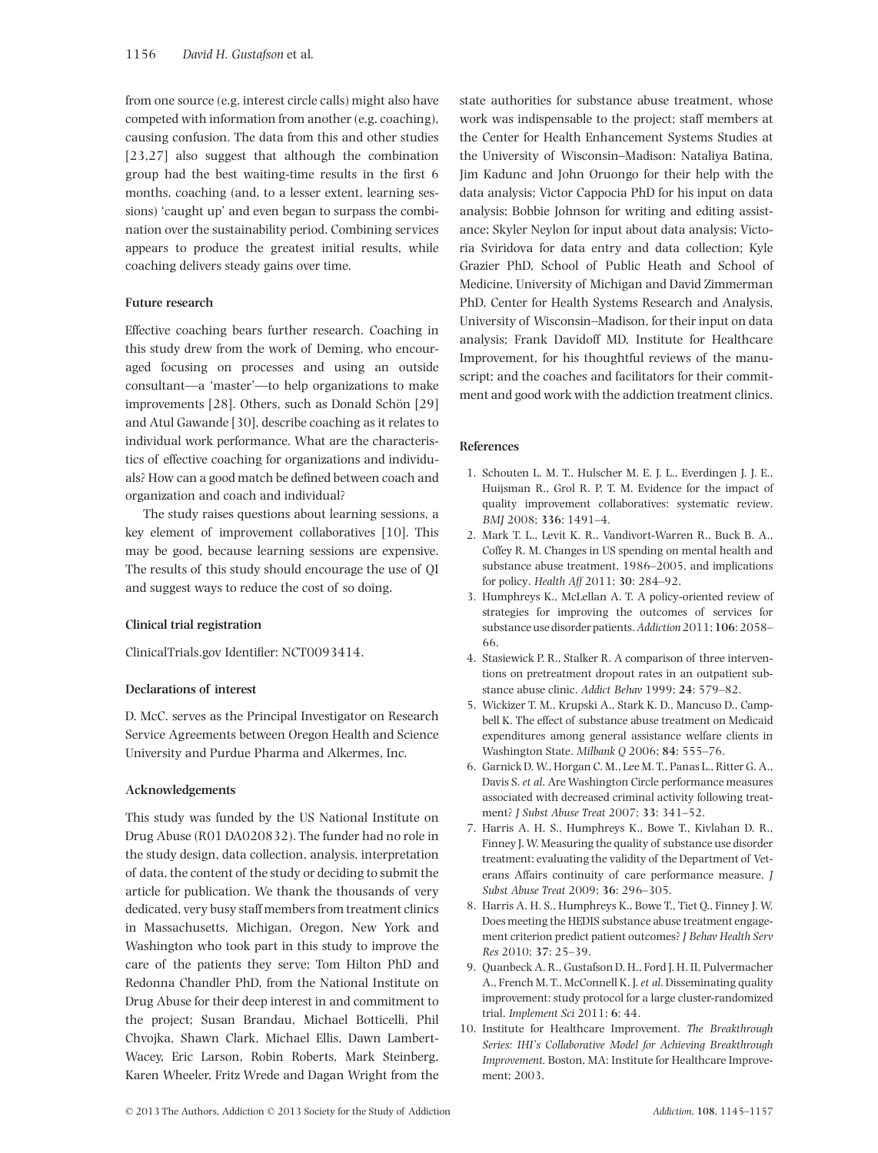from one source (e.g. interest circle calls) might also have competed with information from another (e.g. coaching), causing confusion. The data from this and other studies [23,27] also suggest that although the combination group had the best waiting-time results in the first 6 months, coaching (and, to a lesser extent, learning sessions) 'caught up' and even began to surpass the combination over the sustainability period. Combining services appears to produce the greatest initial results, while coaching delivers steady gains over time.

## **Future research**

Effective coaching bears further research. Coaching in this study drew from the work of Deming, who encouraged focusing on processes and using an outside consultant—a 'master'—to help organizations to make improvements [28]. Others, such as Donald Schön [29] and Atul Gawande [30], describe coaching as it relates to individual work performance. What are the characteristics of effective coaching for organizations and individuals? How can a good match be defined between coach and organization and coach and individual?

The study raises questions about learning sessions, a key element of improvement collaboratives [10]. This may be good, because learning sessions are expensive. The results of this study should encourage the use of QI and suggest ways to reduce the cost of so doing.

## **Clinical trial registration**

ClinicalTrials.gov Identifier: NCT0093414.

# **Declarations of interest**

D. McC. serves as the Principal Investigator on Research Service Agreements between Oregon Health and Science University and Purdue Pharma and Alkermes, Inc.

## **Acknowledgements**

This study was funded by the US National Institute on Drug Abuse (R01 DA020832). The funder had no role in the study design, data collection, analysis, interpretation of data, the content of the study or deciding to submit the article for publication. We thank the thousands of very dedicated, very busy staff members from treatment clinics in Massachusetts, Michigan, Oregon, New York and Washington who took part in this study to improve the care of the patients they serve; Tom Hilton PhD and Redonna Chandler PhD, from the National Institute on Drug Abuse for their deep interest in and commitment to the project; Susan Brandau, Michael Botticelli, Phil Chvojka, Shawn Clark, Michael Ellis, Dawn Lambert-Wacey, Eric Larson, Robin Roberts, Mark Steinberg, Karen Wheeler, Fritz Wrede and Dagan Wright from the

state authorities for substance abuse treatment, whose work was indispensable to the project; staff members at the Center for Health Enhancement Systems Studies at the University of Wisconsin–Madison: Nataliya Batina, Jim Kadunc and John Oruongo for their help with the data analysis; Victor Cappocia PhD for his input on data analysis; Bobbie Johnson for writing and editing assistance; Skyler Neylon for input about data analysis; Victoria Sviridova for data entry and data collection; Kyle Grazier PhD, School of Public Heath and School of Medicine, University of Michigan and David Zimmerman PhD, Center for Health Systems Research and Analysis, University of Wisconsin–Madison, for their input on data analysis; Frank Davidoff MD, Institute for Healthcare Improvement, for his thoughtful reviews of the manuscript; and the coaches and facilitators for their commitment and good work with the addiction treatment clinics.

# **References**

- 1. Schouten L. M. T., Hulscher M. E. J. L., Everdingen J. J. E., Huijsman R., Grol R. P. T. M. Evidence for the impact of quality improvement collaboratives: systematic review. *BMJ* 2008; **336**: 1491–4.
- 2. Mark T. L., Levit K. R., Vandivort-Warren R., Buck B. A., Coffey R. M. Changes in US spending on mental health and substance abuse treatment, 1986–2005, and implications for policy. *Health Aff* 2011; **30**: 284–92.
- 3. Humphreys K., McLellan A. T. A policy-oriented review of strategies for improving the outcomes of services for substance use disorder patients.*Addiction*2011;**106**: 2058– 66.
- 4. Stasiewick P. R., Stalker R. A comparison of three interventions on pretreatment dropout rates in an outpatient substance abuse clinic. *Addict Behav* 1999; **24**: 579–82.
- 5. Wickizer T. M., Krupski A., Stark K. D., Mancuso D., Campbell K. The effect of substance abuse treatment on Medicaid expenditures among general assistance welfare clients in Washington State. *Milbank Q* 2006; **84**: 555–76.
- 6. Garnick D. W., Horgan C. M., Lee M. T., Panas L., Ritter G. A., Davis S. *et al*. Are Washington Circle performance measures associated with decreased criminal activity following treatment? *J Subst Abuse Treat* 2007; **33**: 341–52.
- 7. Harris A. H. S., Humphreys K., Bowe T., Kivlahan D. R., Finney J. W. Measuring the quality of substance use disorder treatment: evaluating the validity of the Department of Veterans Affairs continuity of care performance measure. *J Subst Abuse Treat* 2009; **36**: 296–305.
- 8. Harris A. H. S., Humphreys K., Bowe T., Tiet Q., Finney J. W. Does meeting the HEDIS substance abuse treatment engagement criterion predict patient outcomes? *J Behav Health Serv Res* 2010; **37**: 25–39.
- 9. Quanbeck A. R., Gustafson D. H., Ford J. H. II, Pulvermacher A., French M. T., McConnell K. J.*et al*. Disseminating quality improvement: study protocol for a large cluster-randomized trial. *Implement Sci* 2011; **6**: 44.
- 10. Institute for Healthcare Improvement. *The Breakthrough Series: IHI's Collaborative Model for Achieving Breakthrough Improvement.* Boston, MA: Institute for Healthcare Improvement; 2003.